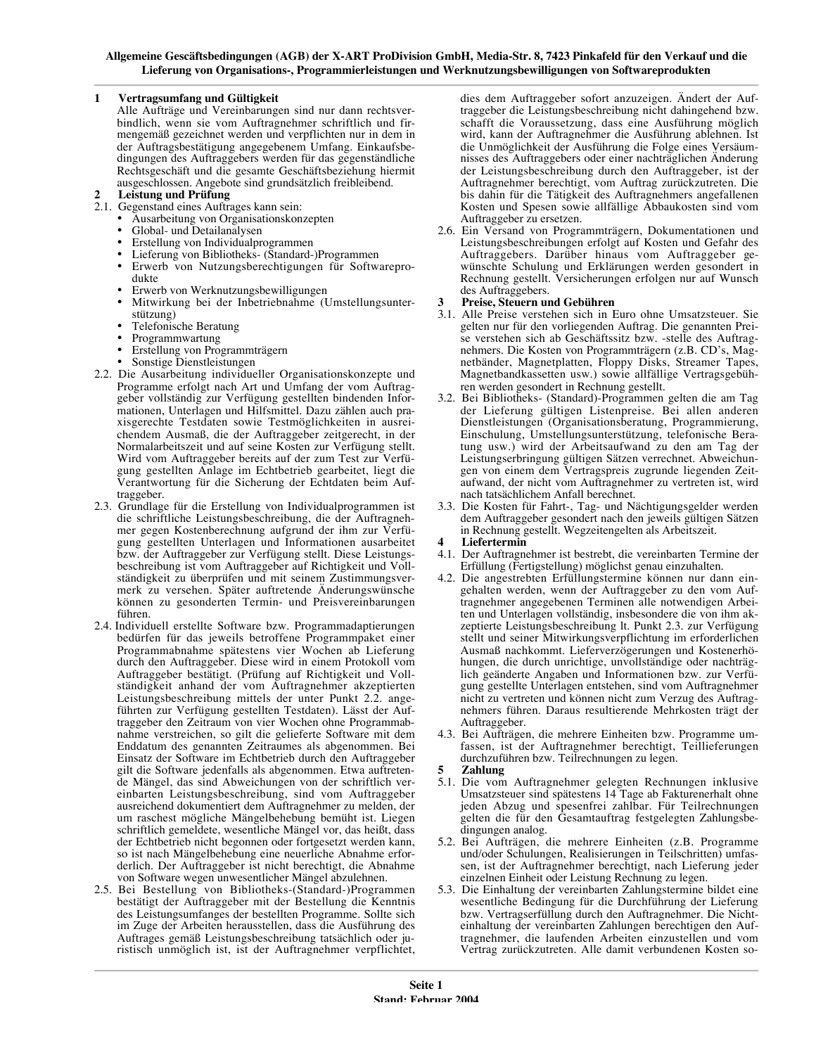### $\mathbf{1}$ Vertragsumfang und Gültigkeit

Alle Aufträge und Vereinbarungen sind nur dann rechtsverbindlich, wenn sie vom Auftragnehmer schriftlich und firmengemäß gezeichnet werden und verpflichten nur in dem in der Auftragsbestätigung angegebenem Umfang. Einkaufsbedingungen des Auftraggebers werden für das gegenständliche Rechtsgeschäft und die gesamte Geschäftsbeziehung hiermit ausgeschlossen. Angebote sind grundsätzlich freibleibend.

# **Leistung und Prüfung**

- 2.1. Gegenstand eines Auftrages kann sein:
	- Ausarbeitung von Organisationskonzepten
	- Global- und Detailanalysen
	- Erstellung von Individualprogrammen
	- Lieferung von Bibliotheks- (Standard-)Programmen
	- Erwerb von Nutzungsberechtigungen für Softwareprodukte
	- Erwerb von Werknutzungsbewilligungen
	- Mitwirkung bei der Inbetriebnahme (Umstellungsunterstützung)
	- Telefonische Beratung
	- Programmwartung
	- Erstellung von Programmträgern
	- Sonstige Dienstleistungen
- 2.2. Die Ausarbeitung individueller Organisationskonzepte und Programme erfolgt nach Art und Umfang der vom Auftraggeber vollständig zur Verfügung gestellten bindenden Informationen, Unterlagen und Hilfsmittel. Dazu zählen auch praxisgerechte Testdaten sowie Testmöglichkeiten in ausreichendem Ausmaß, die der Auftraggeber zeitgerecht, in der Normalarbeitszeit und auf seine Kosten zur Verfügung stellt. Wird vom Auftraggeber bereits auf der zum Test zur Verfügung gestellten Anlage im Echtbetrieb gearbeitet, liegt die Verantwortung für die Sicherung der Echtdaten beim Auftraggeber.
- 2.3. Grundlage für die Erstellung von Individualprogrammen ist die schriftliche Leistungsbeschreibung, die der Auftragnehmer gegen Kostenberechnung aufgrund der ihm zur Verfügung gestellten Unterlagen und Informationen ausarbeitet bzw. der Auftraggeber zur Verfügung stellt. Diese Leistungsbeschreibung ist vom Auftraggeber auf Richtigkeit und Vollständigkeit zu überprüfen und mit seinem Zustimmungsvermerk zu versehen. Später auftretende Änderungswünsche können zu gesonderten Termin- und Preisvereinbarungen führen.
- 2.4. Individuell erstellte Software bzw. Programmadaptierungen bedürfen für das jeweils betroffene Programmpaket einer Programmabnahme spätestens vier Wochen ab Lieferung durch den Auftraggeber. Diese wird in einem Protokoll vom Auftraggeber bestätigt. (Prüfung auf Richtigkeit und Vollständigkeit anhand der vom Auftragnehmer akzeptierten Leistungsbeschreibung mittels der unter Punkt 2.2. angeführten zur Verfügung gestellten Testdaten). Lässt der Auftraggeber den Zeitraum von vier Wochen ohne Programmabnahme verstreichen, so gilt die gelieferte Software mit dem Enddatum des genannten Zeitraumes als abgenommen. Bei Einsatz der Software im Echtbetrieb durch den Auftraggeber gilt die Software jedenfalls als abgenommen. Etwa auftretende Mängel, das sind Abweichungen von der schriftlich vereinbarten Leistungsbeschreibung, sind vom Auftraggeber ausreichend dokumentiert dem Auftragnehmer zu melden, der um raschest mögliche Mängelbehebung bemüht ist. Liegen schriftlich gemeldete, wesentliche Mängel vor, das heißt, dass der Echtbetrieb nicht begonnen oder fortgesetzt werden kann, so ist nach Mängelbehebung eine neuerliche Abnahme erforderlich. Der Auftraggeber ist nicht berechtigt, die Abnahme von Software wegen unwesentlicher Mängel abzulehnen.
- 2.5. Bei Bestellung von Bibliotheks-(Standard-)Programmen bestätigt der Auftraggeber mit der Bestellung die Kenntnis des Leistungsumfanges der bestellten Programme. Sollte sich im Zuge der Arbeiten herausstellen, dass die Ausführung des Auftrages gemäß Leistungsbeschreibung tatsächlich oder juristisch unmöglich ist, ist der Auftragnehmer verpflichtet,

dies dem Auftraggeber sofort anzuzeigen. Ändert der Auftraggeber die Leistungsbeschreibung nicht dahingehend bzw. schafft die Voraussetzung, dass eine Ausführung möglich wird, kann der Auftragnehmer die Ausführung ablehnen. Ist die Unmöglichkeit der Ausführung die Folge eines Versäumnisses des Auftraggebers oder einer nachträglichen Änderung der Leistungsbeschreibung durch den Auftraggeber, ist der Auftragnehmer berechtigt, vom Auftrag zurückzutreten. Die bis dahin für die Tätigkeit des Auftragnehmers angefallenen Kosten und Spesen sowie allfällige Abbaukosten sind vom Auftraggeber zu ersetzen.

2.6. Ein Versand von Programmträgern, Dokumentationen und Leistungsbeschreibungen erfolgt auf Kosten und Gefahr des Auftraggebers. Darüber hinaus vom Auftraggeber gewünschte Schulung und Erklärungen werden gesondert in<br>Rechnung gestellt. Versicherungen erfolgen nur auf Wunsch des Auftraggebers.

# Preise, Steuern und Gebühren

- 3.1. Alle Preise verstehen sich in Euro ohne Umsatzsteuer. Sie gelten nur für den vorliegenden Auftrag. Die genannten Preise verstehen sich ab Geschäftssitz bzw. -stelle des Auftragnehmers. Die Kosten von Programmträgern (z.B. CD's, Magnetbänder, Magnetplatten, Floppy Disks, Streamer Tapes, Magnetbandkassetten usw.) sowie allfällige Vertragsgebühren werden gesondert in Rechnung gestellt.
- 3.2. Bei Bibliotheks- (Standard)-Programmen gelten die am Tag der Lieferung gültigen Listenpreise. Bei allen anderen Dienstleistungen (Organisationsberatung, Programmierung, Einschulung, Umstellungsunterstützung, telefonische Beratung usw.) wird der Arbeitsaufwand zu den am Tag der Leistungserbringung gültigen Sätzen verrechnet. Abweichungen von einem dem Vertragspreis zugrunde liegenden Zeitaufwand, der nicht vom Auftragnehmer zu vertreten ist, wird nach tatsächlichem Anfall berechnet.
- 3.3. Die Kosten für Fahrt-, Tag- und Nächtigungsgelder werden dem Auftraggeber gesondert nach den jeweils gültigen Sätzen in Rechnung gestellt. Wegzeitengelten als Arbeitszeit.
- Liefertermin
- 4.1. Der Auftragnehmer ist bestrebt, die vereinbarten Termine der Erfüllung (Fertigstellung) möglichst genau einzuhalten.
- 4.2. Die angestrebten Erfüllungstermine können nur dann eingehalten werden, wenn der Auftraggeber zu den vom Auftragnehmer angegebenen Terminen alle notwendigen Arbeiten und Unterlagen vollständig, insbesondere die von ihm akzeptierte Leistungsbeschreibung lt. Punkt 2.3. zur Verfügung stellt und seiner Mitwirkungsverpflichtung im erforderlichen Ausmaß nachkommt. Lieferverzögerungen und Kostenerhöhungen, die durch unrichtige, unvollständige oder nachträglich geänderte Angaben und Informationen bzw. zur Verfügung gestellte Unterlagen entstehen, sind vom Auftragnehmer nicht zu vertreten und können nicht zum Verzug des Auftragnehmers führen. Daraus resultierende Mehrkosten trägt der Auftraggeber.
- 4.3. Bei Aufträgen, die mehrere Einheiten bzw. Programme umfassen, ist der Auftragnehmer berechtigt, Teillieferungen durchzuführen bzw. Teilrechnungen zu legen.
- Zahlung
- 5.1. Die vom Auftragnehmer gelegten Rechnungen inklusive Umsatzsteuer sind spätestens 14 Tage ab Fakturenerhalt ohne jeden Abzug und spesenfrei zahlbar. Für Teilrechnungen gelten die für den Gesamtauftrag festgelegten Zahlungsbedingungen analog.
- 5.2. Bei Aufträgen, die mehrere Einheiten (z.B. Programme und/oder Schulungen, Realisierungen in Teilschritten) umfassen, ist der Auftragnehmer berechtigt, nach Lieferung jeder einzelnen Einheit oder Leistung Rechnung zu legen.
- 5.3. Die Einhaltung der vereinbarten Zahlungstermine bildet eine wesentliche Bedingung für die Durchführung der Lieferung bzw. Vertragserfüllung durch den Auftragnehmer. Die Nichteinhaltung der vereinbarten Zahlungen berechtigen den Auftragnehmer, die laufenden Arbeiten einzustellen und vom Vertrag zurückzutreten. Alle damit verbundenen Kosten so-